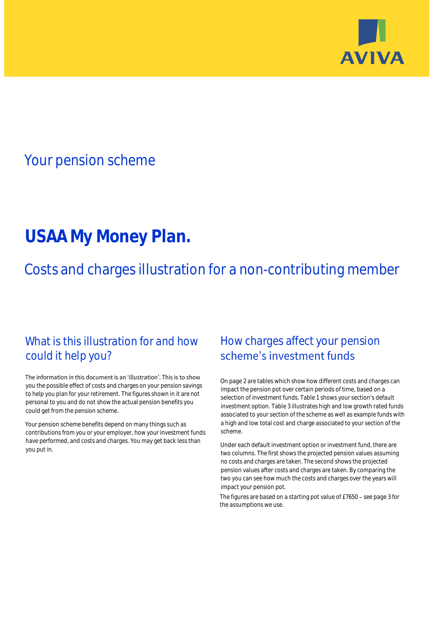

# Your pension scheme

# **USAA My Money Plan.**

Costs and charges illustration for a non-contributing member

## What is this illustration for and how could it help you?

### The information in this document is an 'illustration'. This is to show you the possible effect of costs and charges on your pension savings to help you plan for your retirement. The figures shown in it are not personal to you and do not show the actual pension benefits you could get from the pension scheme.

Your pension scheme benefits depend on many things such as contributions from you or your employer, how your investment funds have performed, and costs and charges. You may get back less than you put in.

# How charges affect your pension scheme's investment funds

On page 2 are tables which show how different costs and charges can impact the pension pot over certain periods of time, based on a selection of investment funds. Table 1 shows your section's default investment option. Table 3 illustrates high and low growth rated funds associated to your section of the scheme as well as example funds with a high and low total cost and charge associated to your section of the scheme.

Under each default investment option or investment fund, there are two columns. The first shows the projected pension values assuming no costs and charges are taken. The second shows the projected pension values after costs and charges are taken. By comparing the two you can see how much the costs and charges over the years will impact your pension pot.

The figures are based on a starting pot value of  $£7650 -$  see page 3 for the assumptions we use.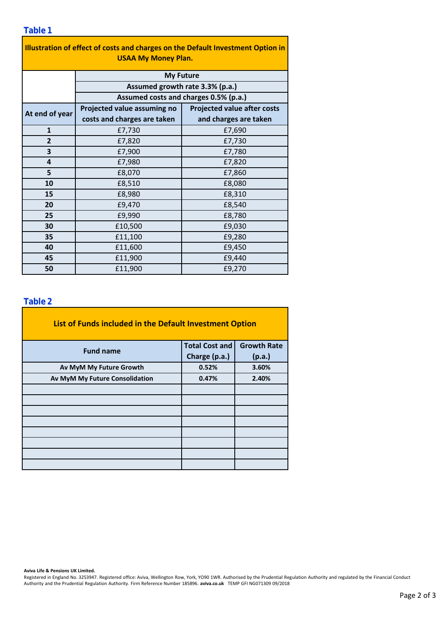| Illustration of effect of costs and charges on the Default Investment Option in |                                                                          |                                    |  |  |  |  |  |  |  |
|---------------------------------------------------------------------------------|--------------------------------------------------------------------------|------------------------------------|--|--|--|--|--|--|--|
| <b>USAA My Money Plan.</b>                                                      |                                                                          |                                    |  |  |  |  |  |  |  |
|                                                                                 | <b>My Future</b>                                                         |                                    |  |  |  |  |  |  |  |
|                                                                                 | Assumed growth rate 3.3% (p.a.)<br>Assumed costs and charges 0.5% (p.a.) |                                    |  |  |  |  |  |  |  |
|                                                                                 |                                                                          |                                    |  |  |  |  |  |  |  |
| At end of year                                                                  | Projected value assuming no                                              | <b>Projected value after costs</b> |  |  |  |  |  |  |  |
|                                                                                 | costs and charges are taken                                              | and charges are taken              |  |  |  |  |  |  |  |
| $\mathbf{1}$                                                                    | £7,730                                                                   | £7,690                             |  |  |  |  |  |  |  |
| 2                                                                               | £7,820                                                                   | £7,730                             |  |  |  |  |  |  |  |
| 3                                                                               | £7,900                                                                   | £7,780                             |  |  |  |  |  |  |  |
| 4                                                                               | £7,980                                                                   | £7,820                             |  |  |  |  |  |  |  |
| 5                                                                               | £8,070                                                                   | £7,860                             |  |  |  |  |  |  |  |
| 10                                                                              | £8,510                                                                   | £8,080                             |  |  |  |  |  |  |  |
| 15                                                                              | £8,980                                                                   | £8,310                             |  |  |  |  |  |  |  |
| 20                                                                              | £9,470                                                                   | £8,540                             |  |  |  |  |  |  |  |
| 25                                                                              | £9,990                                                                   | £8,780                             |  |  |  |  |  |  |  |
| 30                                                                              | £10,500                                                                  | £9,030                             |  |  |  |  |  |  |  |
| 35                                                                              | £11,100                                                                  | £9,280                             |  |  |  |  |  |  |  |
| 40                                                                              | £11,600                                                                  | £9,450                             |  |  |  |  |  |  |  |
| 45                                                                              | £11,900                                                                  | £9,440                             |  |  |  |  |  |  |  |
| 50                                                                              | £11,900                                                                  | £9,270                             |  |  |  |  |  |  |  |

### **Table 2**

| List of Funds included in the Default Investment Option |                       |                    |  |  |  |  |  |  |
|---------------------------------------------------------|-----------------------|--------------------|--|--|--|--|--|--|
| <b>Fund name</b>                                        | <b>Total Cost and</b> | <b>Growth Rate</b> |  |  |  |  |  |  |
|                                                         | Charge (p.a.)         | (p.a.)             |  |  |  |  |  |  |
| Av MyM My Future Growth                                 | 0.52%                 | 3.60%              |  |  |  |  |  |  |
| Av MyM My Future Consolidation                          | 0.47%                 | 2.40%              |  |  |  |  |  |  |
|                                                         |                       |                    |  |  |  |  |  |  |
|                                                         |                       |                    |  |  |  |  |  |  |
|                                                         |                       |                    |  |  |  |  |  |  |
|                                                         |                       |                    |  |  |  |  |  |  |
|                                                         |                       |                    |  |  |  |  |  |  |
|                                                         |                       |                    |  |  |  |  |  |  |
|                                                         |                       |                    |  |  |  |  |  |  |
|                                                         |                       |                    |  |  |  |  |  |  |

#### **Aviva Life & Pensions UK Limited.**

Registered in England No. 3253947. Registered office: Aviva, Wellington Row, York, YO90 1WR. Authorised by the Prudential Regulation Authority and regulated by the Financial Conduct Authority and the Prudential Regulation Authority. Firm Reference Number 185896. **aviva.co.uk** TEMP GFI NG071309 09/2018